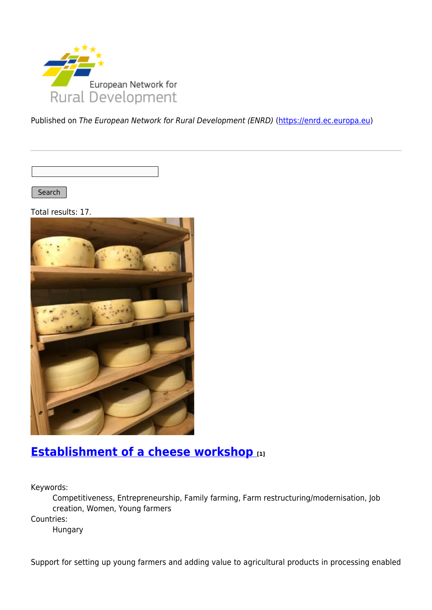

Published on The European Network for Rural Development (ENRD) [\(https://enrd.ec.europa.eu](https://enrd.ec.europa.eu))

Search |

Total results: 17.



## **[Establishment of a cheese workshop](https://enrd.ec.europa.eu/projects-practice/establishment-cheese-workshop_en) [1]**

Keywords:

Competitiveness, Entrepreneurship, Family farming, Farm restructuring/modernisation, Job creation, Women, Young farmers

Countries:

Hungary

Support for setting up young farmers and adding value to agricultural products in processing enabled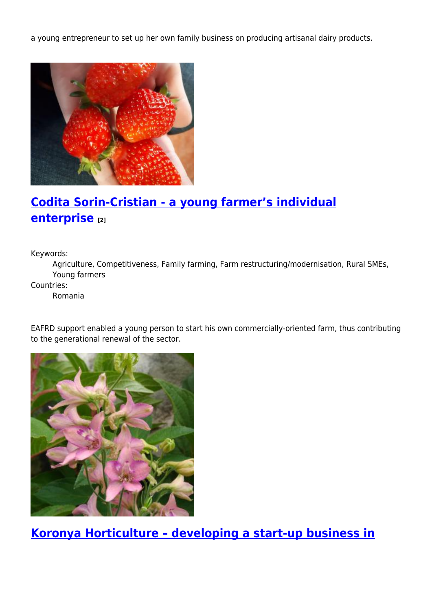a young entrepreneur to set up her own family business on producing artisanal dairy products.



# **[Codita Sorin-Cristian - a young farmer's individual](https://enrd.ec.europa.eu/projects-practice/codita-sorin-cristian-young-farmers-individual-enterprise_en) [enterprise](https://enrd.ec.europa.eu/projects-practice/codita-sorin-cristian-young-farmers-individual-enterprise_en) [2]**

Keywords:

Agriculture, Competitiveness, Family farming, Farm restructuring/modernisation, Rural SMEs, Young farmers

Countries:

Romania

EAFRD support enabled a young person to start his own commercially-oriented farm, thus contributing to the generational renewal of the sector.



**[Koronya Horticulture – developing a start-up business in](https://enrd.ec.europa.eu/projects-practice/koronya-horticulture-developing-start-business-horticulture_en)**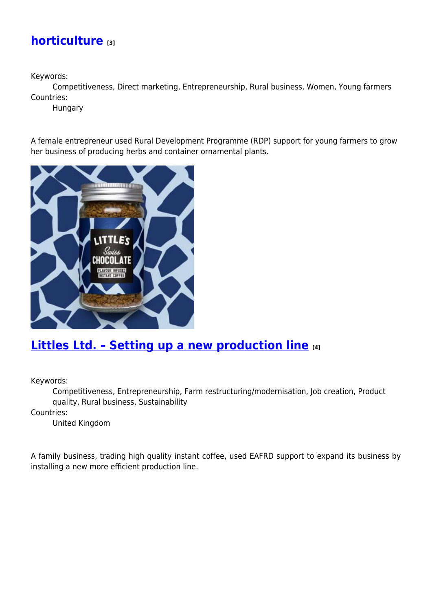#### **[horticulture](https://enrd.ec.europa.eu/projects-practice/koronya-horticulture-developing-start-business-horticulture_en) [3]**

Keywords:

Competitiveness, Direct marketing, Entrepreneurship, Rural business, Women, Young farmers Countries:

Hungary

A female entrepreneur used Rural Development Programme (RDP) support for young farmers to grow her business of producing herbs and container ornamental plants.



## **[Littles Ltd. – Setting up a new production line](https://enrd.ec.europa.eu/projects-practice/littles-ltd-setting-new-production-line_en) [4]**

Keywords:

Competitiveness, Entrepreneurship, Farm restructuring/modernisation, Job creation, Product quality, Rural business, Sustainability

Countries:

United Kingdom

A family business, trading high quality instant coffee, used EAFRD support to expand its business by installing a new more efficient production line.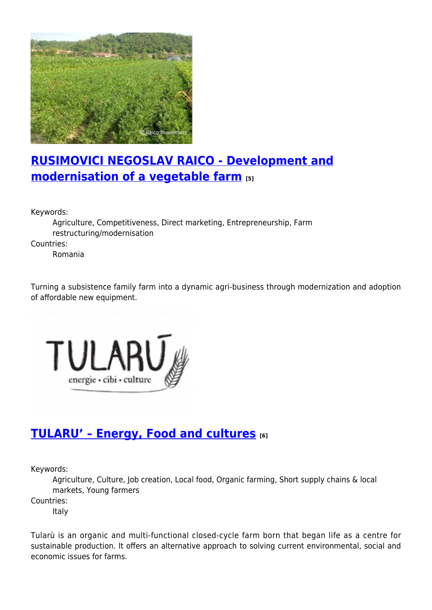

# **[RUSIMOVICI NEGOSLAV RAICO - Development and](https://enrd.ec.europa.eu/projects-practice/rusimovici-negoslav-raico-development-and-modernisation-vegetable-farm_en) [modernisation of a vegetable farm](https://enrd.ec.europa.eu/projects-practice/rusimovici-negoslav-raico-development-and-modernisation-vegetable-farm_en) [5]**

Keywords:

Agriculture, Competitiveness, Direct marketing, Entrepreneurship, Farm restructuring/modernisation

Countries:

Romania

Turning a subsistence family farm into a dynamic agri-business through modernization and adoption of affordable new equipment.



## **[TULARU' – Energy, Food and cultures](https://enrd.ec.europa.eu/projects-practice/tularu-energy-food-and-cultures_en) [6]**

Keywords:

Agriculture, Culture, Job creation, Local food, Organic farming, Short supply chains & local markets, Young farmers

Countries:

Italy

Tularù is an organic and multi-functional closed-cycle farm born that began life as a centre for sustainable production. It offers an alternative approach to solving current environmental, social and economic issues for farms.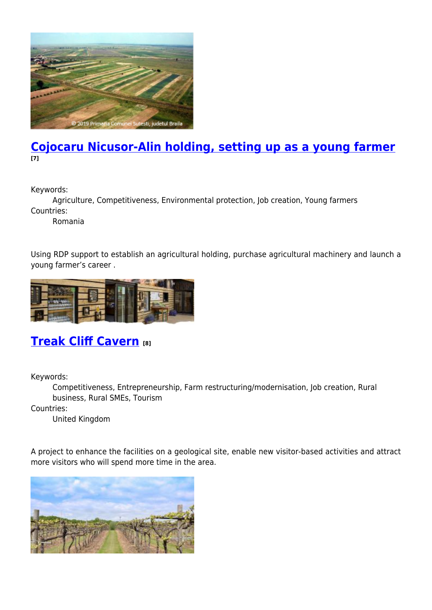

#### **[Cojocaru Nicusor-Alin holding, setting up as a young farmer](https://enrd.ec.europa.eu/projects-practice/cojocaru-nicusor-alin-holding-setting-young-farmer_en) [7]**

Keywords:

Agriculture, Competitiveness, Environmental protection, Job creation, Young farmers Countries:

Romania

Using RDP support to establish an agricultural holding, purchase agricultural machinery and launch a young farmer's career .



# **[Treak Cliff Cavern](https://enrd.ec.europa.eu/projects-practice/treak-cliff-cavern_en) [8]**

Keywords:

Competitiveness, Entrepreneurship, Farm restructuring/modernisation, Job creation, Rural business, Rural SMEs, Tourism

Countries:

United Kingdom

A project to enhance the facilities on a geological site, enable new visitor-based activities and attract more visitors who will spend more time in the area.

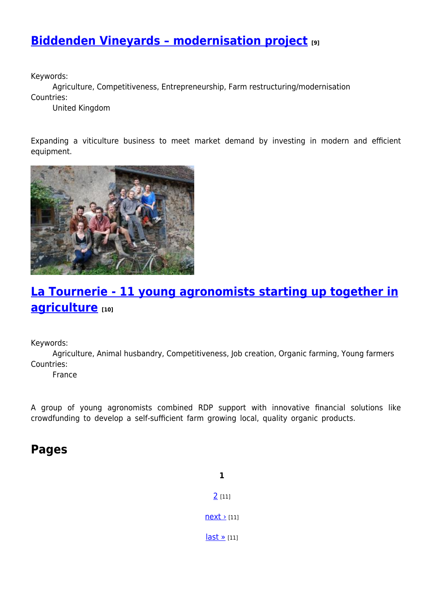# **[Biddenden Vineyards – modernisation project](https://enrd.ec.europa.eu/projects-practice/biddenden-vineyards-modernisation-project_en) [9]**

Keywords:

Agriculture, Competitiveness, Entrepreneurship, Farm restructuring/modernisation Countries:

United Kingdom

Expanding a viticulture business to meet market demand by investing in modern and efficient equipment.



# **[La Tournerie - 11 young agronomists starting up together in](https://enrd.ec.europa.eu/projects-practice/la-tournerie-11-young-agronomists-starting-together-agriculture_en) [agriculture](https://enrd.ec.europa.eu/projects-practice/la-tournerie-11-young-agronomists-starting-together-agriculture_en) [10]**

Keywords:

Agriculture, Animal husbandry, Competitiveness, Job creation, Organic farming, Young farmers Countries:

France

A group of young agronomists combined RDP support with innovative financial solutions like crowdfunding to develop a self-sufficient farm growing local, quality organic products.

#### **Pages**

**1** [2](https://enrd.ec.europa.eu/projects-practice/_en?page=1&f%5B0%5D=im_field_enrd_prj_keywords%3A20476&f%5B1%5D=im_field_enrd_prj_keywords%3A19738&f%5B2%5D=im_field_enrd_prj_keywords%3A19756&f%5B3%5D=sm_enrd_eu_countries%3AFrance&f%5B4%5D=im_field_enrd_prj_keywords%3A19720&f%5B5%5D=im_field_enrd_prj_measure%3A17097&f%5B6%5D=im_field_enrd_prj_keywords%3A20466&f%5B7%5D=sm_enrd_eu_countries%3AItaly&f%5B8%5D=sm_enrd_eu_countries%3ARomania&f%5B9%5D=im_field_enrd_prj_keywords%3A19742&f%5B10%5D=sm_enrd_eu_countries%3AHungary&f%5B11%5D=sm_enrd_eu_countries%3AUnited%20Kingdom&%3Bf%5B1%5D=im_field_enrd_prj_keywords%3A19720) [11]  $next$  [11]  $last \times [11]$